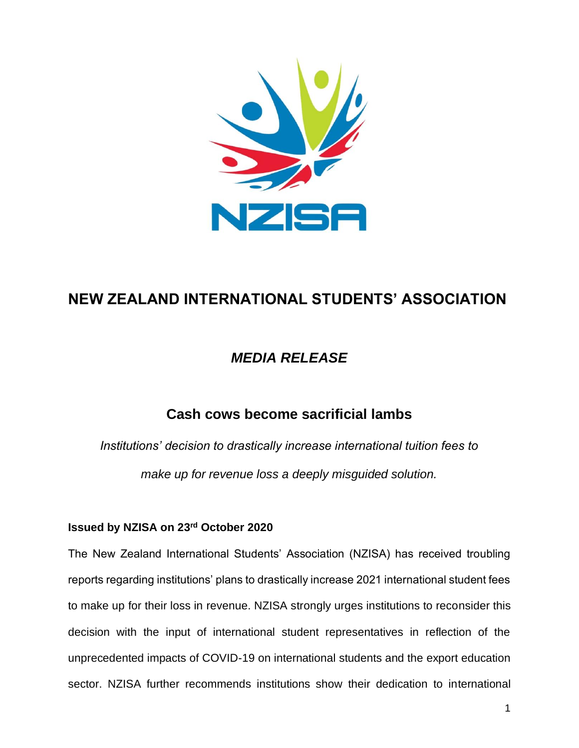

# **NEW ZEALAND INTERNATIONAL STUDENTS' ASSOCIATION**

## *MEDIA RELEASE*

### **Cash cows become sacrificial lambs**

*Institutions' decision to drastically increase international tuition fees to make up for revenue loss a deeply misguided solution.*

#### **Issued by NZISA on 23rd October 2020**

The New Zealand International Students' Association (NZISA) has received troubling reports regarding institutions' plans to drastically increase 2021 international student fees to make up for their loss in revenue. NZISA strongly urges institutions to reconsider this decision with the input of international student representatives in reflection of the unprecedented impacts of COVID-19 on international students and the export education sector. NZISA further recommends institutions show their dedication to international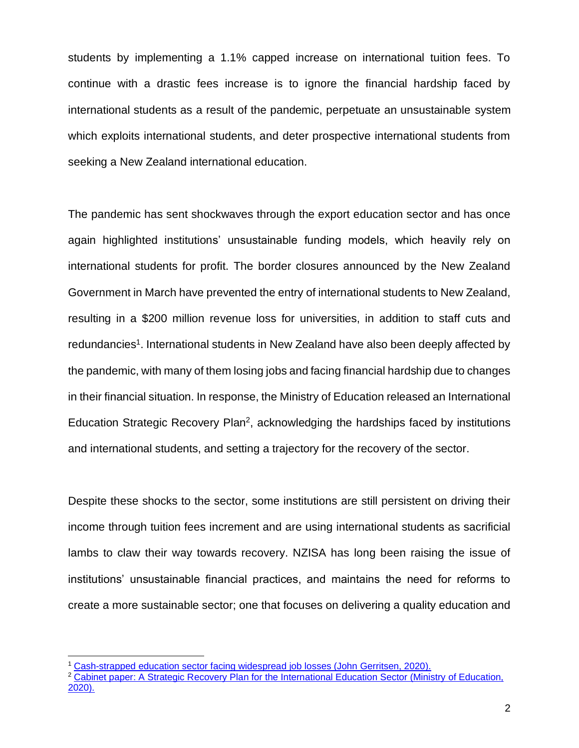students by implementing a 1.1% capped increase on international tuition fees. To continue with a drastic fees increase is to ignore the financial hardship faced by international students as a result of the pandemic, perpetuate an unsustainable system which exploits international students, and deter prospective international students from seeking a New Zealand international education.

The pandemic has sent shockwaves through the export education sector and has once again highlighted institutions' unsustainable funding models, which heavily rely on international students for profit. The border closures announced by the New Zealand Government in March have prevented the entry of international students to New Zealand, resulting in a \$200 million revenue loss for universities, in addition to staff cuts and redundancies<sup>1</sup>. International students in New Zealand have also been deeply affected by the pandemic, with many of them losing jobs and facing financial hardship due to changes in their financial situation. In response, the Ministry of Education released an International Education Strategic Recovery Plan<sup>2</sup>, acknowledging the hardships faced by institutions and international students, and setting a trajectory for the recovery of the sector.

Despite these shocks to the sector, some institutions are still persistent on driving their income through tuition fees increment and are using international students as sacrificial lambs to claw their way towards recovery. NZISA has long been raising the issue of institutions' unsustainable financial practices, and maintains the need for reforms to create a more sustainable sector; one that focuses on delivering a quality education and

<sup>1</sup> [Cash-strapped education sector facing widespread job losses \(John Gerritsen, 2020\).](https://www.rnz.co.nz/news/national/425693/cash-strapped-education-sector-facing-widespread-job-losses)

<sup>&</sup>lt;sup>2</sup> Cabinet paper: A Strategic Recovery Plan for the International Education Sector (Ministry of Education, [2020\).](https://www.education.govt.nz/assets/Uploads/R-285-288-Cabinet-Paper-Pack-International-Education-Recovery-Redacted2.pdf)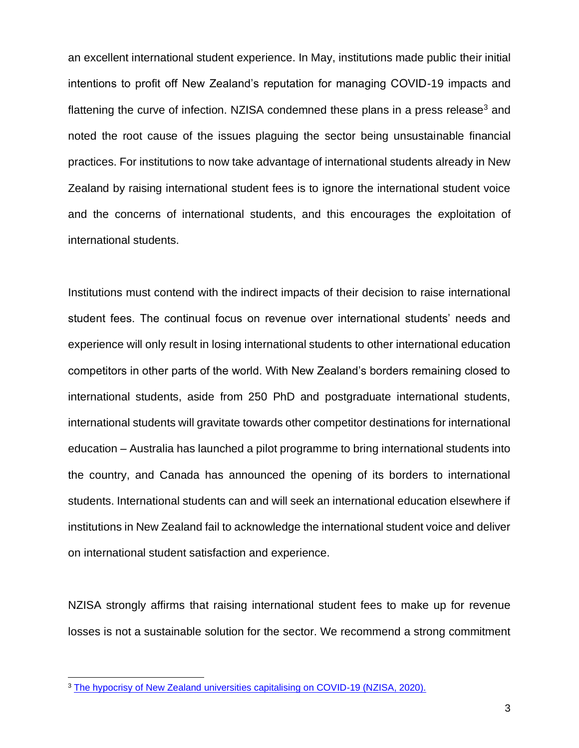an excellent international student experience. In May, institutions made public their initial intentions to profit off New Zealand's reputation for managing COVID-19 impacts and flattening the curve of infection. NZISA condemned these plans in a press release<sup>3</sup> and noted the root cause of the issues plaguing the sector being unsustainable financial practices. For institutions to now take advantage of international students already in New Zealand by raising international student fees is to ignore the international student voice and the concerns of international students, and this encourages the exploitation of international students.

Institutions must contend with the indirect impacts of their decision to raise international student fees. The continual focus on revenue over international students' needs and experience will only result in losing international students to other international education competitors in other parts of the world. With New Zealand's borders remaining closed to international students, aside from 250 PhD and postgraduate international students, international students will gravitate towards other competitor destinations for international education – Australia has launched a pilot programme to bring international students into the country, and Canada has announced the opening of its borders to international students. International students can and will seek an international education elsewhere if institutions in New Zealand fail to acknowledge the international student voice and deliver on international student satisfaction and experience.

NZISA strongly affirms that raising international student fees to make up for revenue losses is not a sustainable solution for the sector. We recommend a strong commitment

<sup>&</sup>lt;sup>3</sup> [The hypocrisy of New Zealand universities capitalising on COVID-19 \(NZISA, 2020\).](https://nzisa.co.nz/2020/05/06/the-hypocrisy-of-new-zealand-universities-capitalising-on-covid-19/)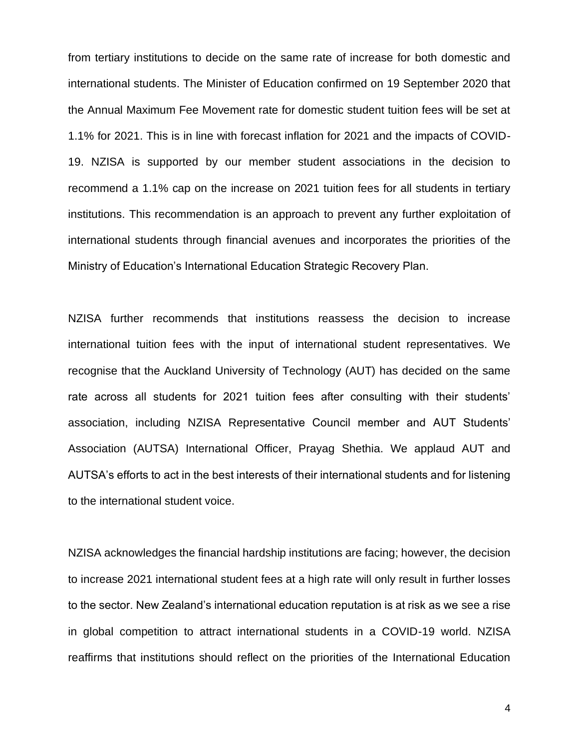from tertiary institutions to decide on the same rate of increase for both domestic and international students. The Minister of Education confirmed on 19 September 2020 that the Annual Maximum Fee Movement rate for domestic student tuition fees will be set at 1.1% for 2021. This is in line with forecast inflation for 2021 and the impacts of COVID-19. NZISA is supported by our member student associations in the decision to recommend a 1.1% cap on the increase on 2021 tuition fees for all students in tertiary institutions. This recommendation is an approach to prevent any further exploitation of international students through financial avenues and incorporates the priorities of the Ministry of Education's International Education Strategic Recovery Plan.

NZISA further recommends that institutions reassess the decision to increase international tuition fees with the input of international student representatives. We recognise that the Auckland University of Technology (AUT) has decided on the same rate across all students for 2021 tuition fees after consulting with their students' association, including NZISA Representative Council member and AUT Students' Association (AUTSA) International Officer, Prayag Shethia. We applaud AUT and AUTSA's efforts to act in the best interests of their international students and for listening to the international student voice.

NZISA acknowledges the financial hardship institutions are facing; however, the decision to increase 2021 international student fees at a high rate will only result in further losses to the sector. New Zealand's international education reputation is at risk as we see a rise in global competition to attract international students in a COVID-19 world. NZISA reaffirms that institutions should reflect on the priorities of the International Education

4